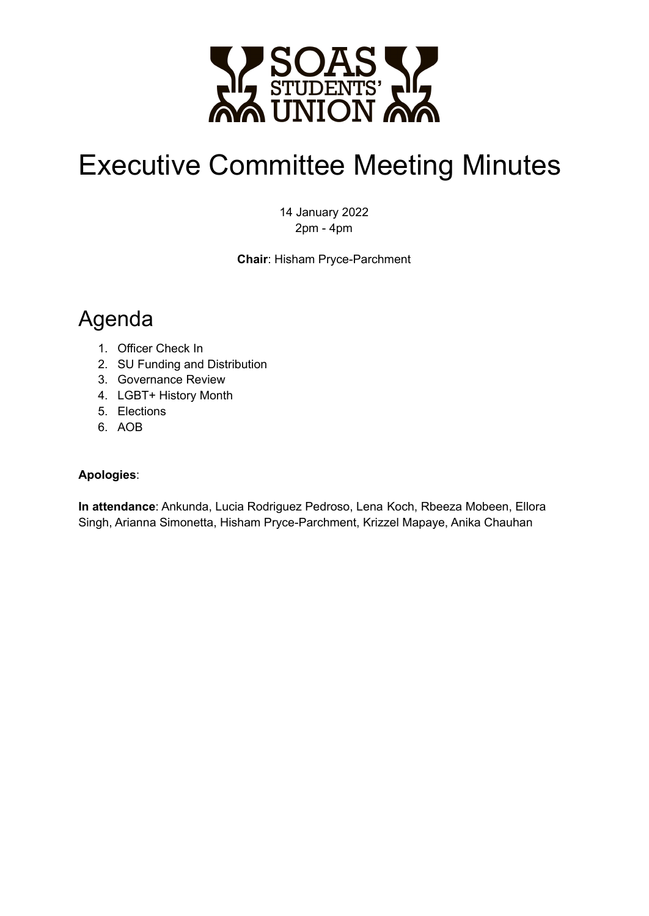

# Executive Committee Meeting Minutes

14 January 2022 2pm - 4pm

**Chair**: Hisham Pryce-Parchment

## Agenda

- 1. Officer Check In
- 2. SU Funding and Distribution
- 3. Governance Review
- 4. LGBT+ History Month
- 5. Elections
- 6. AOB

#### **Apologies**:

**In attendance**: Ankunda, Lucia Rodriguez Pedroso, Lena Koch, Rbeeza Mobeen, Ellora Singh, Arianna Simonetta, Hisham Pryce-Parchment, Krizzel Mapaye, Anika Chauhan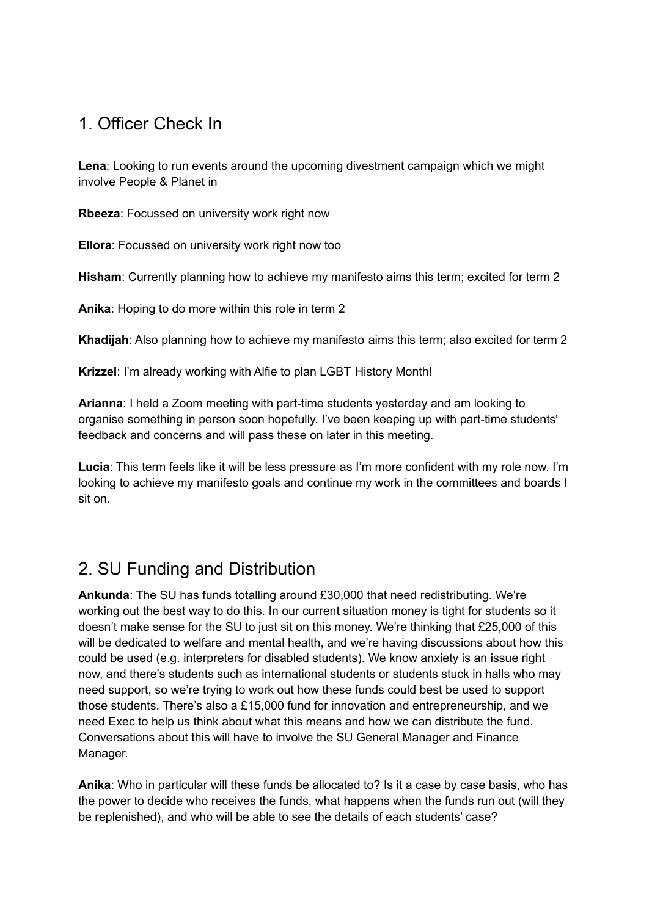#### 1. Officer Check In

**Lena**: Looking to run events around the upcoming divestment campaign which we might involve People & Planet in

**Rbeeza**: Focussed on university work right now

**Ellora**: Focussed on university work right now too

**Hisham**: Currently planning how to achieve my manifesto aims this term; excited for term 2

**Anika**: Hoping to do more within this role in term 2

**Khadijah**: Also planning how to achieve my manifesto aims this term; also excited for term 2

**Krizzel**: I'm already working with Alfie to plan LGBT History Month!

**Arianna**: I held a Zoom meeting with part-time students yesterday and am looking to organise something in person soon hopefully. I've been keeping up with part-time students' feedback and concerns and will pass these on later in this meeting.

**Lucia**: This term feels like it will be less pressure as I'm more confident with my role now. I'm looking to achieve my manifesto goals and continue my work in the committees and boards I sit on.

#### 2. SU Funding and Distribution

**Ankunda**: The SU has funds totalling around £30,000 that need redistributing. We're working out the best way to do this. In our current situation money is tight for students so it doesn't make sense for the SU to just sit on this money. We're thinking that £25,000 of this will be dedicated to welfare and mental health, and we're having discussions about how this could be used (e.g. interpreters for disabled students). We know anxiety is an issue right now, and there's students such as international students or students stuck in halls who may need support, so we're trying to work out how these funds could best be used to support those students. There's also a £15,000 fund for innovation and entrepreneurship, and we need Exec to help us think about what this means and how we can distribute the fund. Conversations about this will have to involve the SU General Manager and Finance Manager.

**Anika**: Who in particular will these funds be allocated to? Is it a case by case basis, who has the power to decide who receives the funds, what happens when the funds run out (will they be replenished), and who will be able to see the details of each students' case?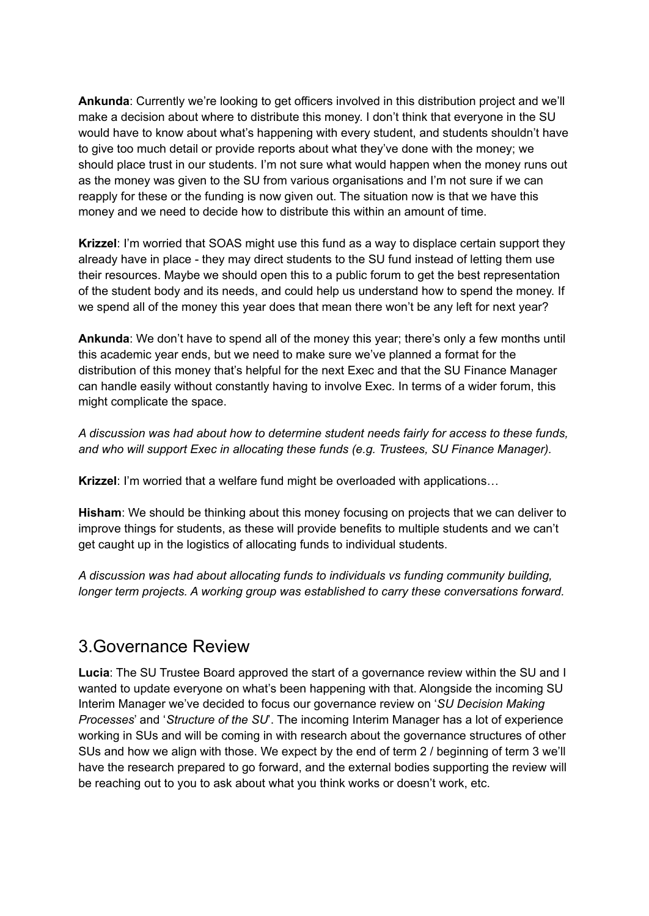**Ankunda**: Currently we're looking to get officers involved in this distribution project and we'll make a decision about where to distribute this money. I don't think that everyone in the SU would have to know about what's happening with every student, and students shouldn't have to give too much detail or provide reports about what they've done with the money; we should place trust in our students. I'm not sure what would happen when the money runs out as the money was given to the SU from various organisations and I'm not sure if we can reapply for these or the funding is now given out. The situation now is that we have this money and we need to decide how to distribute this within an amount of time.

**Krizzel**: I'm worried that SOAS might use this fund as a way to displace certain support they already have in place - they may direct students to the SU fund instead of letting them use their resources. Maybe we should open this to a public forum to get the best representation of the student body and its needs, and could help us understand how to spend the money. If we spend all of the money this year does that mean there won't be any left for next year?

**Ankunda**: We don't have to spend all of the money this year; there's only a few months until this academic year ends, but we need to make sure we've planned a format for the distribution of this money that's helpful for the next Exec and that the SU Finance Manager can handle easily without constantly having to involve Exec. In terms of a wider forum, this might complicate the space.

*A discussion was had about how to determine student needs fairly for access to these funds, and who will support Exec in allocating these funds (e.g. Trustees, SU Finance Manager).*

**Krizzel**: I'm worried that a welfare fund might be overloaded with applications…

**Hisham**: We should be thinking about this money focusing on projects that we can deliver to improve things for students, as these will provide benefits to multiple students and we can't get caught up in the logistics of allocating funds to individual students.

*A discussion was had about allocating funds to individuals vs funding community building, longer term projects. A working group was established to carry these conversations forward.*

#### 3.Governance Review

**Lucia**: The SU Trustee Board approved the start of a governance review within the SU and I wanted to update everyone on what's been happening with that. Alongside the incoming SU Interim Manager we've decided to focus our governance review on '*SU Decision Making Processes*' and '*Structure of the SU*'. The incoming Interim Manager has a lot of experience working in SUs and will be coming in with research about the governance structures of other SUs and how we align with those. We expect by the end of term 2 / beginning of term 3 we'll have the research prepared to go forward, and the external bodies supporting the review will be reaching out to you to ask about what you think works or doesn't work, etc.